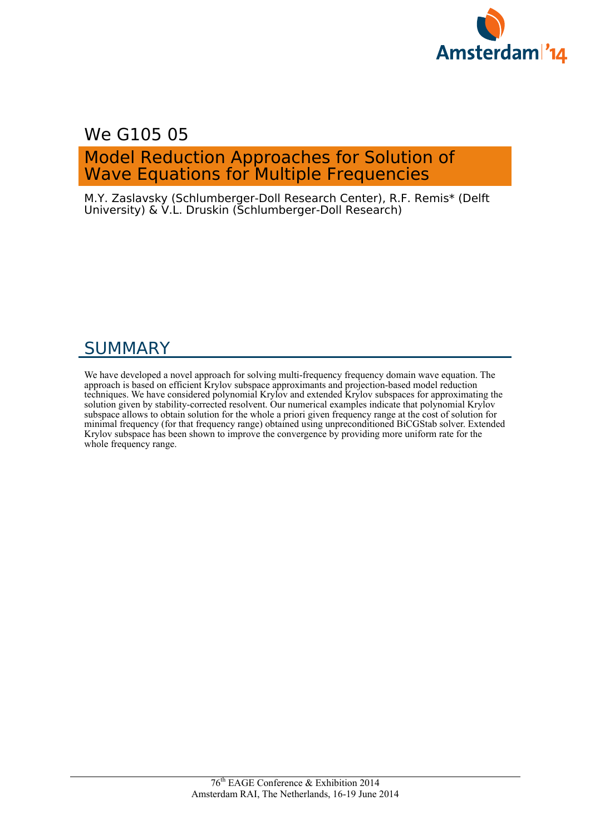

## We G105 05

## Model Reduction Approaches for Solution of Wave Equations for Multiple Frequencies

M.Y. Zaslavsky (Schlumberger-Doll Research Center), R.F. Remis\* (Delft University) & V.L. Druskin (Schlumberger-Doll Research)

# SUMMARY

We have developed a novel approach for solving multi-frequency frequency domain wave equation. The approach is based on efficient Krylov subspace approximants and projection-based model reduction techniques. We have considered polynomial Krylov and extended Krylov subspaces for approximating the solution given by stability-corrected resolvent. Our numerical examples indicate that polynomial Krylov subspace allows to obtain solution for the whole a priori given frequency range at the cost of solution for minimal frequency (for that frequency range) obtained using unpreconditioned BiCGStab solver. Extended Krylov subspace has been shown to improve the convergence by providing more uniform rate for the whole frequency range.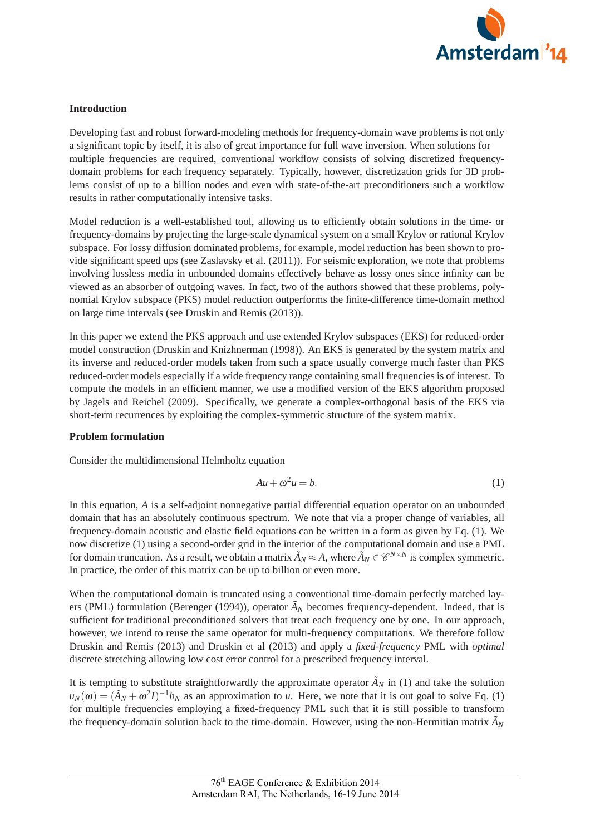

## **Introduction**

Developing fast and robust forward-modeling methods for frequency-domain wave problems is not only a significant topic by itself, it is also of great importance for full wave inversion. When solutions for multiple frequencies are required, conventional workflow consists of solving discretized frequencydomain problems for each frequency separately. Typically, however, discretization grids for 3D problems consist of up to a billion nodes and even with state-of-the-art preconditioners such a workflow results in rather computationally intensive tasks.

Model reduction is a well-established tool, allowing us to efficiently obtain solutions in the time- or frequency-domains by projecting the large-scale dynamical system on a small Krylov or rational Krylov subspace. For lossy diffusion dominated problems, for example, model reduction has been shown to provide significant speed ups (see Zaslavsky et al. (2011)). For seismic exploration, we note that problems involving lossless media in unbounded domains effectively behave as lossy ones since infinity can be viewed as an absorber of outgoing waves. In fact, two of the authors showed that these problems, polynomial Krylov subspace (PKS) model reduction outperforms the finite-difference time-domain method on large time intervals (see Druskin and Remis (2013)).

In this paper we extend the PKS approach and use extended Krylov subspaces (EKS) for reduced-order model construction (Druskin and Knizhnerman (1998)). An EKS is generated by the system matrix and its inverse and reduced-order models taken from such a space usually converge much faster than PKS reduced-order models especially if a wide frequency range containing small frequencies is of interest. To compute the models in an efficient manner, we use a modified version of the EKS algorithm proposed by Jagels and Reichel (2009). Specifically, we generate a complex-orthogonal basis of the EKS via short-term recurrences by exploiting the complex-symmetric structure of the system matrix.

## **Problem formulation**

Consider the multidimensional Helmholtz equation

$$
Au + \omega^2 u = b. \tag{1}
$$

In this equation, *A* is a self-adjoint nonnegative partial differential equation operator on an unbounded domain that has an absolutely continuous spectrum. We note that via a proper change of variables, all frequency-domain acoustic and elastic field equations can be written in a form as given by Eq. (1). We now discretize (1) using a second-order grid in the interior of the computational domain and use a PML for domain truncation. As a result, we obtain a matrix  $\tilde{A}_N \approx A$ , where  $\tilde{A}_N \in \mathcal{C}^{N \times N}$  is complex symmetric. In practice, the order of this matrix can be up to billion or even more.

When the computational domain is truncated using a conventional time-domain perfectly matched layers (PML) formulation (Berenger (1994)), operator  $\tilde{A}_N$  becomes frequency-dependent. Indeed, that is sufficient for traditional preconditioned solvers that treat each frequency one by one. In our approach, however, we intend to reuse the same operator for multi-frequency computations. We therefore follow Druskin and Remis (2013) and Druskin et al (2013) and apply a *fixed-frequency* PML with *optimal* discrete stretching allowing low cost error control for a prescribed frequency interval.

It is tempting to substitute straightforwardly the approximate operator  $\tilde{A}_N$  in (1) and take the solution  $u_N(\omega)=(\tilde{A}_N+\omega^2I)^{-1}b_N$  as an approximation to *u*. Here, we note that it is out goal to solve Eq. (1) for multiple frequencies employing a fixed-frequency PML such that it is still possible to transform the frequency-domain solution back to the time-domain. However, using the non-Hermitian matrix  $\tilde{A}_N$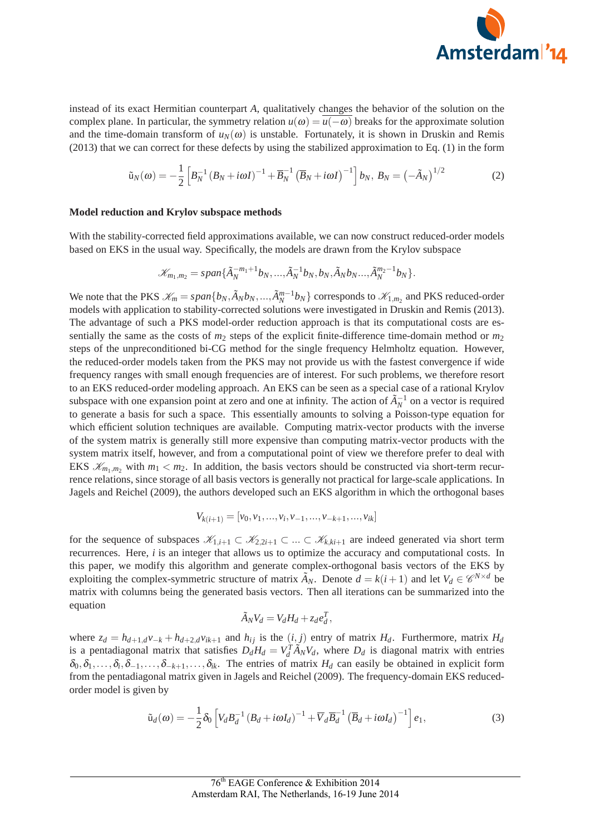

instead of its exact Hermitian counterpart *A*, qualitatively changes the behavior of the solution on the complex plane. In particular, the symmetry relation  $u(\omega) = u(-\omega)$  breaks for the approximate solution and the time-domain transform of  $u_N(\omega)$  is unstable. Fortunately, it is shown in Druskin and Remis (2013) that we can correct for these defects by using the stabilized approximation to Eq. (1) in the form

$$
\tilde{u}_N(\omega) = -\frac{1}{2} \left[ B_N^{-1} \left( B_N + i\omega I \right)^{-1} + \overline{B}_N^{-1} \left( \overline{B}_N + i\omega I \right)^{-1} \right] b_N, \ B_N = \left( -\tilde{A}_N \right)^{1/2}
$$
 (2)

#### **Model reduction and Krylov subspace methods**

With the stability-corrected field approximations available, we can now construct reduced-order models based on EKS in the usual way. Specifically, the models are drawn from the Krylov subspace

$$
\mathcal{K}_{m_1,m_2} = span{\{\tilde{A}_N^{-m_1+1}b_N,...,\tilde{A}_N^{-1}b_N,b_N,\tilde{A}_Nb_N...,\tilde{A}_N^{m_2-1}b_N\}}.
$$

We note that the PKS  $\mathcal{K}_m = span\{b_N, \tilde{A}_Nb_N, ..., \tilde{A}_N^{m-1}b_N\}$  corresponds to  $\mathcal{K}_{1,m_2}$  and PKS reduced-order models with application to stability-corrected solutions were investigated in Druskin and Remis (2013). The advantage of such a PKS model-order reduction approach is that its computational costs are essentially the same as the costs of  $m_2$  steps of the explicit finite-difference time-domain method or  $m_2$ steps of the unpreconditioned bi-CG method for the single frequency Helmholtz equation. However, the reduced-order models taken from the PKS may not provide us with the fastest convergence if wide frequency ranges with small enough frequencies are of interest. For such problems, we therefore resort to an EKS reduced-order modeling approach. An EKS can be seen as a special case of a rational Krylov subspace with one expansion point at zero and one at infinity. The action of  $\tilde{A}_N^{-1}$  on a vector is required to generate a basis for such a space. This essentially amounts to solving a Poisson-type equation for which efficient solution techniques are available. Computing matrix-vector products with the inverse of the system matrix is generally still more expensive than computing matrix-vector products with the system matrix itself, however, and from a computational point of view we therefore prefer to deal with EKS  $\mathcal{K}_{m_1,m_2}$  with  $m_1 < m_2$ . In addition, the basis vectors should be constructed via short-term recurrence relations, since storage of all basis vectors is generally not practical for large-scale applications. In Jagels and Reichel (2009), the authors developed such an EKS algorithm in which the orthogonal bases

$$
V_{k(i+1)} = [v_0, v_1, \dots, v_i, v_{-1}, \dots, v_{-k+1}, \dots, v_{ik}]
$$

for the sequence of subspaces  $\mathscr{K}_{1,i+1} \subset \mathscr{K}_{2,2i+1} \subset \ldots \subset \mathscr{K}_{k,k+1}$  are indeed generated via short term recurrences. Here, *i* is an integer that allows us to optimize the accuracy and computational costs. In this paper, we modify this algorithm and generate complex-orthogonal basis vectors of the EKS by exploiting the complex-symmetric structure of matrix  $\tilde{A}_N$ . Denote  $d = k(i + 1)$  and let  $V_d \in \mathscr{C}^{N \times d}$  be matrix with columns being the generated basis vectors. Then all iterations can be summarized into the equation

$$
\tilde{A}_N V_d = V_d H_d + z_d e_d^T,
$$

where  $z_d = h_{d+1,d}v_{-k} + h_{d+2,d}v_{ik+1}$  and  $h_{ij}$  is the  $(i, j)$  entry of matrix  $H_d$ . Furthermore, matrix  $H_d$ is a pentadiagonal matrix that satisfies  $D_d H_d = V_d^T \tilde{A}_N V_d$ , where  $D_d$  is diagonal matrix with entries  $\delta_0, \delta_1, \ldots, \delta_i, \delta_{-1}, \ldots, \delta_{-k+1}, \ldots, \delta_{ik}$ . The entries of matrix  $H_d$  can easily be obtained in explicit form from the pentadiagonal matrix given in Jagels and Reichel (2009). The frequency-domain EKS reducedorder model is given by

$$
\tilde{u}_d(\omega) = -\frac{1}{2}\delta_0 \left[ V_d B_d^{-1} \left( B_d + i\omega I_d \right)^{-1} + \overline{V}_d \overline{B}_d^{-1} \left( \overline{B}_d + i\omega I_d \right)^{-1} \right] e_1,\tag{3}
$$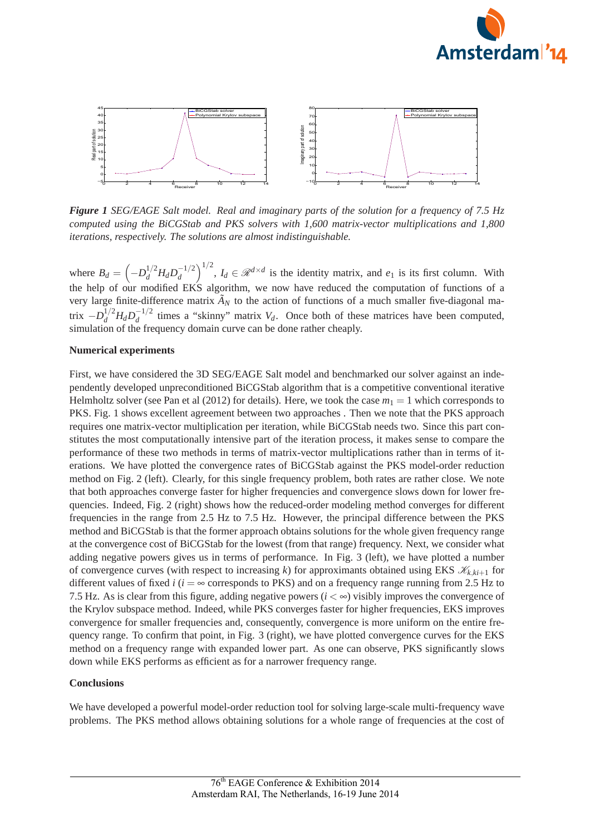



*Figure 1 SEG/EAGE Salt model. Real and imaginary parts of the solution for a frequency of 7.5 Hz computed using the BiCGStab and PKS solvers with 1,600 matrix-vector multiplications and 1,800 iterations, respectively. The solutions are almost indistinguishable.*

where  $B_d = \left(-D_d^{1/2}H_dD_d^{-1/2}\right)^{1/2}$ ,  $I_d \in \mathcal{R}^{d \times d}$  is the identity matrix, and  $e_1$  is its first column. With the help of our modified EKS algorithm, we now have reduced the computation of functions of a very large finite-difference matrix  $\tilde{A}_N$  to the action of functions of a much smaller five-diagonal matrix  $-D_d^{1/2}H_dD_d^{-1/2}$  times a "skinny" matrix *V<sub>d</sub>*. Once both of these matrices have been computed, simulation of the frequency domain curve can be done rather cheaply.

#### **Numerical experiments**

First, we have considered the 3D SEG/EAGE Salt model and benchmarked our solver against an independently developed unpreconditioned BiCGStab algorithm that is a competitive conventional iterative Helmholtz solver (see Pan et al (2012) for details). Here, we took the case  $m_1 = 1$  which corresponds to PKS. Fig. 1 shows excellent agreement between two approaches . Then we note that the PKS approach requires one matrix-vector multiplication per iteration, while BiCGStab needs two. Since this part constitutes the most computationally intensive part of the iteration process, it makes sense to compare the performance of these two methods in terms of matrix-vector multiplications rather than in terms of iterations. We have plotted the convergence rates of BiCGStab against the PKS model-order reduction method on Fig. 2 (left). Clearly, for this single frequency problem, both rates are rather close. We note that both approaches converge faster for higher frequencies and convergence slows down for lower frequencies. Indeed, Fig. 2 (right) shows how the reduced-order modeling method converges for different frequencies in the range from 2.5 Hz to 7.5 Hz. However, the principal difference between the PKS method and BiCGStab is that the former approach obtains solutions for the whole given frequency range at the convergence cost of BiCGStab for the lowest (from that range) frequency. Next, we consider what adding negative powers gives us in terms of performance. In Fig. 3 (left), we have plotted a number of convergence curves (with respect to increasing *k*) for approximants obtained using EKS  $\mathcal{K}_{k}$ ,  $k_{i+1}$  for different values of fixed *i* ( $i = \infty$  corresponds to PKS) and on a frequency range running from 2.5 Hz to 7.5 Hz. As is clear from this figure, adding negative powers  $(i < \infty)$  visibly improves the convergence of the Krylov subspace method. Indeed, while PKS converges faster for higher frequencies, EKS improves convergence for smaller frequencies and, consequently, convergence is more uniform on the entire frequency range. To confirm that point, in Fig. 3 (right), we have plotted convergence curves for the EKS method on a frequency range with expanded lower part. As one can observe, PKS significantly slows down while EKS performs as efficient as for a narrower frequency range.

#### **Conclusions**

We have developed a powerful model-order reduction tool for solving large-scale multi-frequency wave problems. The PKS method allows obtaining solutions for a whole range of frequencies at the cost of